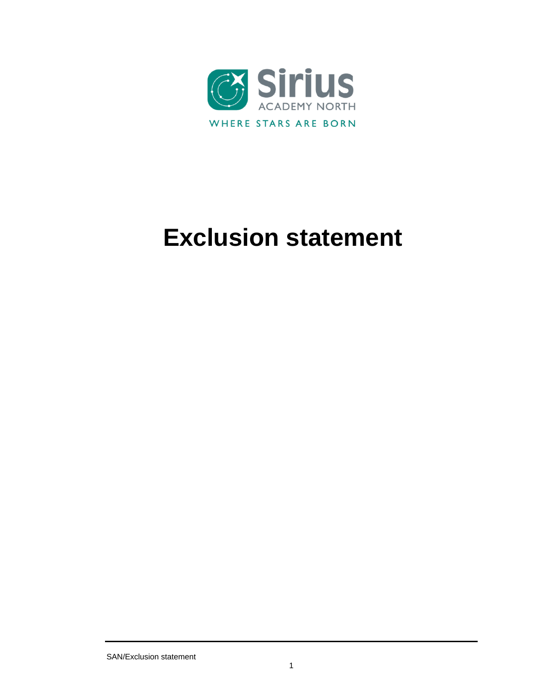

# **Exclusion statement**

SAN/Exclusion statement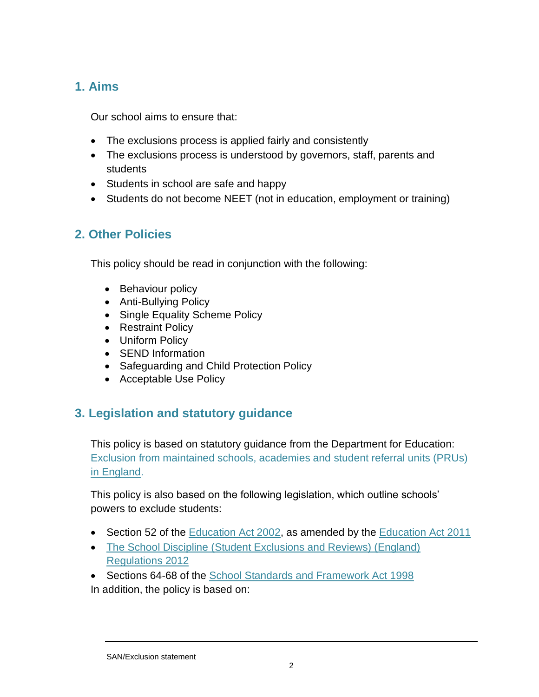## **1. Aims**

Our school aims to ensure that:

- The exclusions process is applied fairly and consistently
- The exclusions process is understood by governors, staff, parents and students
- Students in school are safe and happy
- Students do not become NEET (not in education, employment or training)

# **2. Other Policies**

This policy should be read in conjunction with the following:

- Behaviour policy
- Anti-Bullying Policy
- Single Equality Scheme Policy
- Restraint Policy
- Uniform Policy
- SEND Information
- Safeguarding and Child Protection Policy
- Acceptable Use Policy

# **3. Legislation and statutory guidance**

This policy is based on statutory guidance from the Department for Education: [Exclusion from maintained schools, academies and student](https://www.gov.uk/government/publications/school-exclusion) referral units (PRUs) [in England.](https://www.gov.uk/government/publications/school-exclusion)

This policy is also based on the following legislation, which outline schools' powers to exclude students:

- Section 52 of the [Education Act 2002,](http://www.legislation.gov.uk/ukpga/2002/32/section/52) as amended by the [Education Act 2011](http://www.legislation.gov.uk/ukpga/2011/21/contents/enacted)
- The School Discipline (Student [Exclusions and Reviews\) \(England\)](http://www.legislation.gov.uk/uksi/2012/1033/made)  [Regulations 2012](http://www.legislation.gov.uk/uksi/2012/1033/made)
- Sections 64-68 of the [School Standards and Framework Act 1998](http://www.legislation.gov.uk/ukpga/1998/31) In addition, the policy is based on: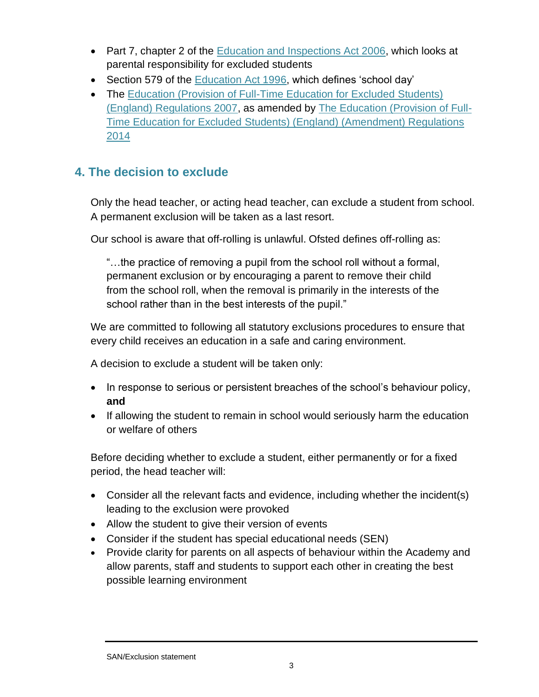- Part 7, chapter 2 of the [Education and Inspections Act 2006,](http://www.legislation.gov.uk/ukpga/2006/40/part/7/chapter/2) which looks at parental responsibility for excluded students
- Section 579 of the [Education Act 1996,](http://www.legislation.gov.uk/ukpga/1996/56/section/579) which defines 'school day'
- The Education (Provision of Full-Time Education for Excluded Students) [\(England\) Regulations 2007,](http://www.legislation.gov.uk/uksi/2007/1870/contents/made) as amended by [The Education \(Provision of Full-](http://www.legislation.gov.uk/uksi/2014/3216/contents/made)[Time Education for Excluded Students\) \(England\) \(Amendment\) Regulations](http://www.legislation.gov.uk/uksi/2014/3216/contents/made)  [2014](http://www.legislation.gov.uk/uksi/2014/3216/contents/made)

## **4. The decision to exclude**

Only the head teacher, or acting head teacher, can exclude a student from school. A permanent exclusion will be taken as a last resort.

Our school is aware that off-rolling is unlawful. Ofsted defines off-rolling as:

"…the practice of removing a pupil from the school roll without a formal, permanent exclusion or by encouraging a parent to remove their child from the school roll, when the removal is primarily in the interests of the school rather than in the best interests of the pupil."

We are committed to following all statutory exclusions procedures to ensure that every child receives an education in a safe and caring environment.

A decision to exclude a student will be taken only:

- In response to serious or persistent breaches of the school's behaviour policy, **and**
- If allowing the student to remain in school would seriously harm the education or welfare of others

Before deciding whether to exclude a student, either permanently or for a fixed period, the head teacher will:

- Consider all the relevant facts and evidence, including whether the incident(s) leading to the exclusion were provoked
- Allow the student to give their version of events
- Consider if the student has special educational needs (SEN)
- Provide clarity for parents on all aspects of behaviour within the Academy and allow parents, staff and students to support each other in creating the best possible learning environment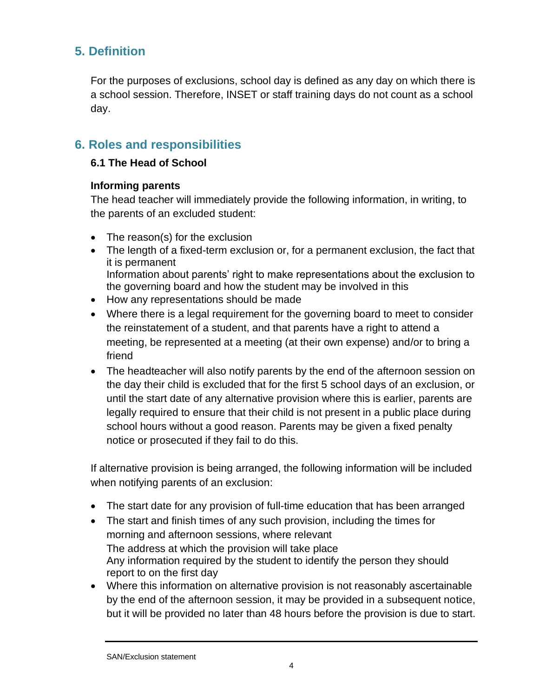## **5. Definition**

For the purposes of exclusions, school day is defined as any day on which there is a school session. Therefore, INSET or staff training days do not count as a school day.

## **6. Roles and responsibilities**

#### **6.1 The Head of School**

#### **Informing parents**

The head teacher will immediately provide the following information, in writing, to the parents of an excluded student:

- The reason(s) for the exclusion
- The length of a fixed-term exclusion or, for a permanent exclusion, the fact that it is permanent Information about parents' right to make representations about the exclusion to the governing board and how the student may be involved in this
- How any representations should be made
- Where there is a legal requirement for the governing board to meet to consider the reinstatement of a student, and that parents have a right to attend a meeting, be represented at a meeting (at their own expense) and/or to bring a friend
- The headteacher will also notify parents by the end of the afternoon session on the day their child is excluded that for the first 5 school days of an exclusion, or until the start date of any alternative provision where this is earlier, parents are legally required to ensure that their child is not present in a public place during school hours without a good reason. Parents may be given a fixed penalty notice or prosecuted if they fail to do this.

If alternative provision is being arranged, the following information will be included when notifying parents of an exclusion:

- The start date for any provision of full-time education that has been arranged
- The start and finish times of any such provision, including the times for morning and afternoon sessions, where relevant The address at which the provision will take place Any information required by the student to identify the person they should report to on the first day
- Where this information on alternative provision is not reasonably ascertainable by the end of the afternoon session, it may be provided in a subsequent notice, but it will be provided no later than 48 hours before the provision is due to start.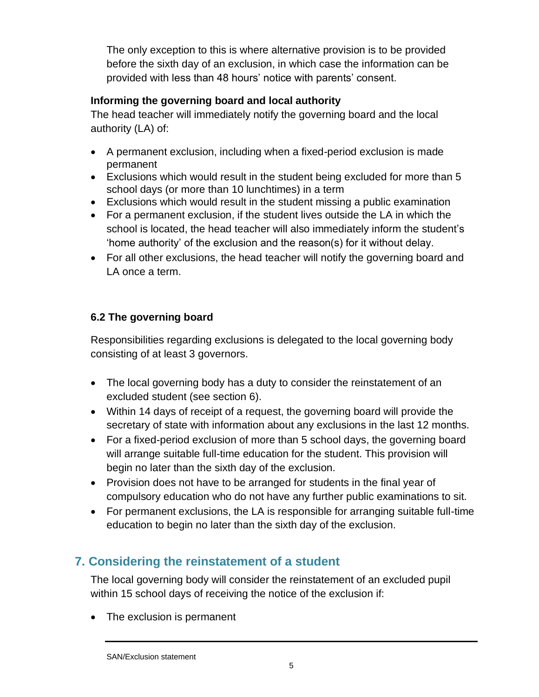The only exception to this is where alternative provision is to be provided before the sixth day of an exclusion, in which case the information can be provided with less than 48 hours' notice with parents' consent.

## **Informing the governing board and local authority**

The head teacher will immediately notify the governing board and the local authority (LA) of:

- A permanent exclusion, including when a fixed-period exclusion is made permanent
- Exclusions which would result in the student being excluded for more than 5 school days (or more than 10 lunchtimes) in a term
- Exclusions which would result in the student missing a public examination
- For a permanent exclusion, if the student lives outside the LA in which the school is located, the head teacher will also immediately inform the student's 'home authority' of the exclusion and the reason(s) for it without delay.
- For all other exclusions, the head teacher will notify the governing board and LA once a term.

## **6.2 The governing board**

Responsibilities regarding exclusions is delegated to the local governing body consisting of at least 3 governors.

- The local governing body has a duty to consider the reinstatement of an excluded student (see section 6).
- Within 14 days of receipt of a request, the governing board will provide the secretary of state with information about any exclusions in the last 12 months.
- For a fixed-period exclusion of more than 5 school days, the governing board will arrange suitable full-time education for the student. This provision will begin no later than the sixth day of the exclusion.
- Provision does not have to be arranged for students in the final year of compulsory education who do not have any further public examinations to sit.
- For permanent exclusions, the LA is responsible for arranging suitable full-time education to begin no later than the sixth day of the exclusion.

# **7. Considering the reinstatement of a student**

The local governing body will consider the reinstatement of an excluded pupil within 15 school days of receiving the notice of the exclusion if:

• The exclusion is permanent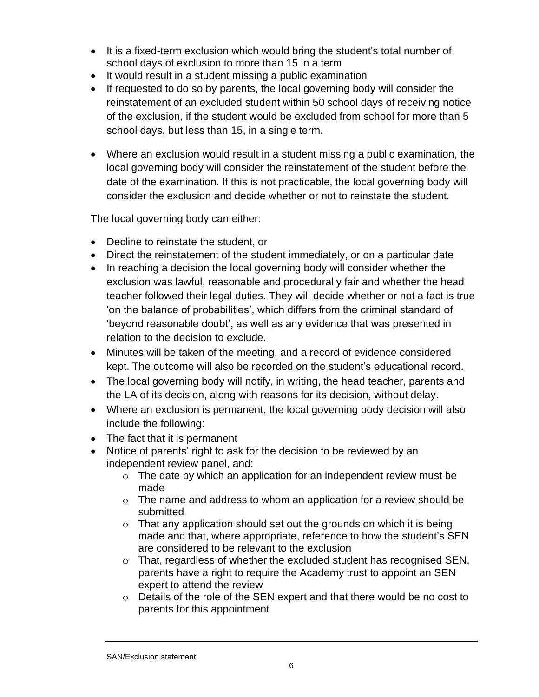- It is a fixed-term exclusion which would bring the student's total number of school days of exclusion to more than 15 in a term
- It would result in a student missing a public examination
- If requested to do so by parents, the local governing body will consider the reinstatement of an excluded student within 50 school days of receiving notice of the exclusion, if the student would be excluded from school for more than 5 school days, but less than 15, in a single term.
- Where an exclusion would result in a student missing a public examination, the local governing body will consider the reinstatement of the student before the date of the examination. If this is not practicable, the local governing body will consider the exclusion and decide whether or not to reinstate the student.

The local governing body can either:

- Decline to reinstate the student, or
- Direct the reinstatement of the student immediately, or on a particular date
- In reaching a decision the local governing body will consider whether the exclusion was lawful, reasonable and procedurally fair and whether the head teacher followed their legal duties. They will decide whether or not a fact is true 'on the balance of probabilities', which differs from the criminal standard of 'beyond reasonable doubt', as well as any evidence that was presented in relation to the decision to exclude.
- Minutes will be taken of the meeting, and a record of evidence considered kept. The outcome will also be recorded on the student's educational record.
- The local governing body will notify, in writing, the head teacher, parents and the LA of its decision, along with reasons for its decision, without delay.
- Where an exclusion is permanent, the local governing body decision will also include the following:
- The fact that it is permanent
- Notice of parents' right to ask for the decision to be reviewed by an independent review panel, and:
	- $\circ$  The date by which an application for an independent review must be made
	- $\circ$  The name and address to whom an application for a review should be submitted
	- $\circ$  That any application should set out the grounds on which it is being made and that, where appropriate, reference to how the student's SEN are considered to be relevant to the exclusion
	- $\circ$  That, regardless of whether the excluded student has recognised SEN, parents have a right to require the Academy trust to appoint an SEN expert to attend the review
	- o Details of the role of the SEN expert and that there would be no cost to parents for this appointment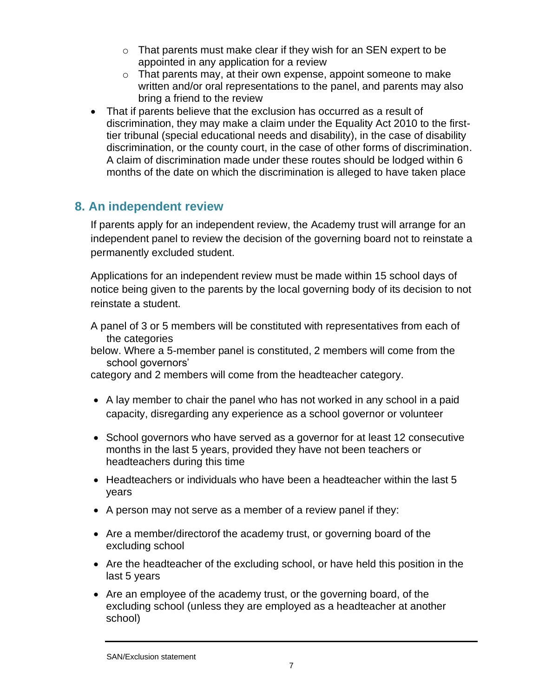- $\circ$  That parents must make clear if they wish for an SEN expert to be appointed in any application for a review
- $\circ$  That parents may, at their own expense, appoint someone to make written and/or oral representations to the panel, and parents may also bring a friend to the review
- That if parents believe that the exclusion has occurred as a result of discrimination, they may make a claim under the Equality Act 2010 to the firsttier tribunal (special educational needs and disability), in the case of disability discrimination, or the county court, in the case of other forms of discrimination. A claim of discrimination made under these routes should be lodged within 6 months of the date on which the discrimination is alleged to have taken place

## **8. An independent review**

If parents apply for an independent review, the Academy trust will arrange for an independent panel to review the decision of the governing board not to reinstate a permanently excluded student.

Applications for an independent review must be made within 15 school days of notice being given to the parents by the local governing body of its decision to not reinstate a student.

A panel of 3 or 5 members will be constituted with representatives from each of the categories

below. Where a 5-member panel is constituted, 2 members will come from the school governors'

category and 2 members will come from the headteacher category.

- A lay member to chair the panel who has not worked in any school in a paid capacity, disregarding any experience as a school governor or volunteer
- School governors who have served as a governor for at least 12 consecutive months in the last 5 years, provided they have not been teachers or headteachers during this time
- Headteachers or individuals who have been a headteacher within the last 5 years
- A person may not serve as a member of a review panel if they:
- Are a member/directorof the academy trust, or governing board of the excluding school
- Are the headteacher of the excluding school, or have held this position in the last 5 years
- Are an employee of the academy trust, or the governing board, of the excluding school (unless they are employed as a headteacher at another school)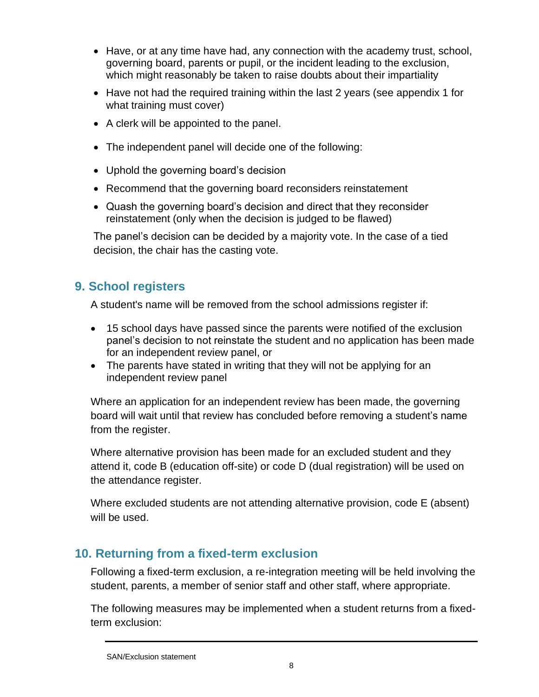- Have, or at any time have had, any connection with the academy trust, school, governing board, parents or pupil, or the incident leading to the exclusion, which might reasonably be taken to raise doubts about their impartiality
- Have not had the required training within the last 2 years (see appendix 1 for what training must cover)
- A clerk will be appointed to the panel.
- The independent panel will decide one of the following:
- Uphold the governing board's decision
- Recommend that the governing board reconsiders reinstatement
- Quash the governing board's decision and direct that they reconsider reinstatement (only when the decision is judged to be flawed)

The panel's decision can be decided by a majority vote. In the case of a tied decision, the chair has the casting vote.

# **9. School registers**

A student's name will be removed from the school admissions register if:

- 15 school days have passed since the parents were notified of the exclusion panel's decision to not reinstate the student and no application has been made for an independent review panel, or
- The parents have stated in writing that they will not be applying for an independent review panel

Where an application for an independent review has been made, the governing board will wait until that review has concluded before removing a student's name from the register.

Where alternative provision has been made for an excluded student and they attend it, code B (education off-site) or code D (dual registration) will be used on the attendance register.

Where excluded students are not attending alternative provision, code E (absent) will be used.

## **10. Returning from a fixed-term exclusion**

Following a fixed-term exclusion, a re-integration meeting will be held involving the student, parents, a member of senior staff and other staff, where appropriate.

The following measures may be implemented when a student returns from a fixedterm exclusion:

SAN/Exclusion statement